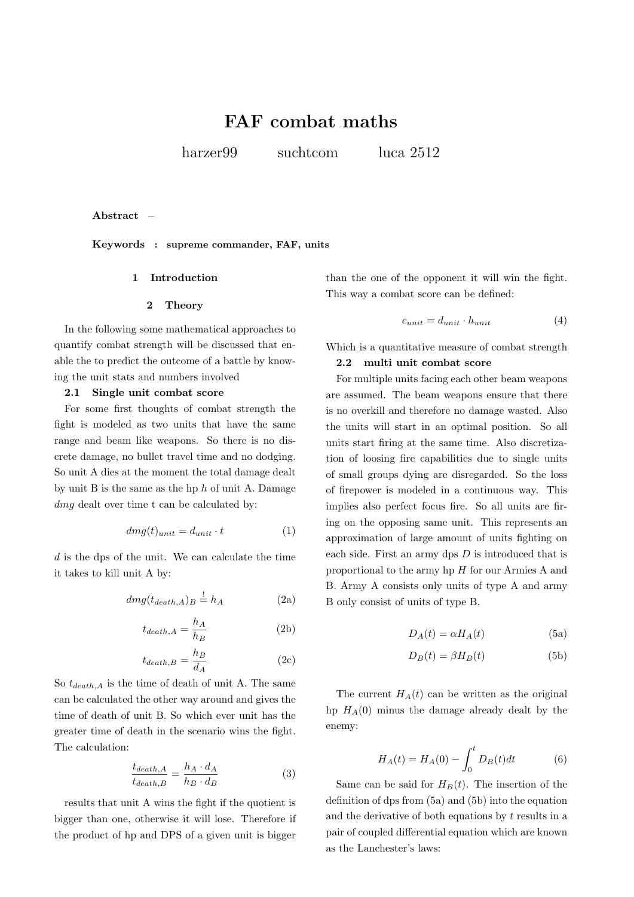# **FAF combat maths**

harzer<sup>99</sup> suchtcom luca 2512

**Abstract –**

**Keywords : supreme commander, FAF, units**

# **1 Introduction**

#### **2 Theory**

In the following some mathematical approaches to quantify combat strength will be discussed that enable the to predict the outcome of a battle by knowing the unit stats and numbers involved

# **2.1 Single unit combat score**

For some first thoughts of combat strength the fight is modeled as two units that have the same range and beam like weapons. So there is no discrete damage, no bullet travel time and no dodging. So unit A dies at the moment the total damage dealt by unit B is the same as the hp *h* of unit A. Damage *dmg* dealt over time t can be calculated by:

$$
dmg(t)_{unit} = d_{unit} \cdot t \tag{1}
$$

*d* is the dps of the unit. We can calculate the time it takes to kill unit A by:

$$
dmg(t_{death,A})_B \stackrel{!}{=} h_A \tag{2a}
$$

$$
t_{death,A} = \frac{h_A}{h_B} \tag{2b}
$$

$$
t_{death,B} = \frac{h_B}{d_A} \tag{2c}
$$

So  $t_{death,A}$  is the time of death of unit A. The same can be calculated the other way around and gives the time of death of unit B. So which ever unit has the greater time of death in the scenario wins the fight. The calculation:

$$
\frac{t_{death,A}}{t_{death,B}} = \frac{h_A \cdot d_A}{h_B \cdot d_B} \tag{3}
$$

results that unit A wins the fight if the quotient is bigger than one, otherwise it will lose. Therefore if the product of hp and DPS of a given unit is bigger than the one of the opponent it will win the fight. This way a combat score can be defined:

$$
c_{unit} = d_{unit} \cdot h_{unit} \tag{4}
$$

Which is a quantitative measure of combat strength

#### **2.2 multi unit combat score**

For multiple units facing each other beam weapons are assumed. The beam weapons ensure that there is no overkill and therefore no damage wasted. Also the units will start in an optimal position. So all units start firing at the same time. Also discretization of loosing fire capabilities due to single units of small groups dying are disregarded. So the loss of firepower is modeled in a continuous way. This implies also perfect focus fire. So all units are firing on the opposing same unit. This represents an approximation of large amount of units fighting on each side. First an army dps *D* is introduced that is proportional to the army hp *H* for our Armies A and B. Army A consists only units of type A and army B only consist of units of type B.

$$
D_A(t) = \alpha H_A(t) \tag{5a}
$$

$$
D_B(t) = \beta H_B(t) \tag{5b}
$$

The current  $H_A(t)$  can be written as the original hp  $H_A(0)$  minus the damage already dealt by the enemy:

$$
H_A(t) = H_A(0) - \int_0^t D_B(t)dt
$$
 (6)

Same can be said for  $H_B(t)$ . The insertion of the definition of dps from (5a) and (5b) into the equation and the derivative of both equations by *t* results in a pair of coupled differential equation which are known as the Lanchester's laws: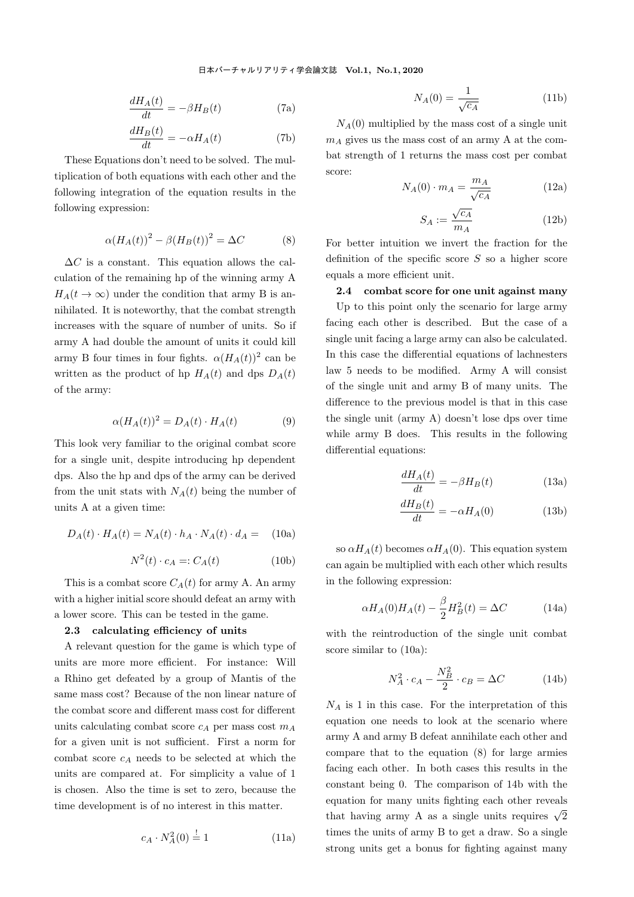$$
\frac{dH_A(t)}{dt} = -\beta H_B(t) \tag{7a}
$$

$$
\frac{dH_B(t)}{dt} = -\alpha H_A(t) \tag{7b}
$$

These Equations don't need to be solved. The multiplication of both equations with each other and the following integration of the equation results in the following expression:

$$
\alpha (H_A(t))^2 - \beta (H_B(t))^2 = \Delta C \tag{8}
$$

 $\Delta C$  is a constant. This equation allows the calculation of the remaining hp of the winning army A  $H_A(t \to \infty)$  under the condition that army B is annihilated. It is noteworthy, that the combat strength increases with the square of number of units. So if army A had double the amount of units it could kill army B four times in four fights.  $\alpha(H_A(t))^2$  can be written as the product of hp  $H_A(t)$  and dps  $D_A(t)$ of the army:

$$
\alpha (H_A(t))^2 = D_A(t) \cdot H_A(t) \tag{9}
$$

This look very familiar to the original combat score for a single unit, despite introducing hp dependent dps. Also the hp and dps of the army can be derived from the unit stats with  $N_A(t)$  being the number of units A at a given time:

$$
D_A(t) \cdot H_A(t) = N_A(t) \cdot h_A \cdot N_A(t) \cdot d_A = (10a)
$$

$$
N^2(t) \cdot c_A =: C_A(t) \tag{10b}
$$

This is a combat score  $C_A(t)$  for army A. An army with a higher initial score should defeat an army with a lower score. This can be tested in the game.

#### **2.3 calculating efficiency of units**

A relevant question for the game is which type of units are more more efficient. For instance: Will a Rhino get defeated by a group of Mantis of the same mass cost? Because of the non linear nature of the combat score and different mass cost for different units calculating combat score *c<sup>A</sup>* per mass cost *m<sup>A</sup>* for a given unit is not sufficient. First a norm for combat score *c<sup>A</sup>* needs to be selected at which the units are compared at. For simplicity a value of 1 is chosen. Also the time is set to zero, because the time development is of no interest in this matter.

$$
c_A \cdot N_A^2(0) \stackrel{!}{=} 1 \tag{11a}
$$

$$
N_A(0) = \frac{1}{\sqrt{c_A}}\tag{11b}
$$

 $N_A(0)$  multiplied by the mass cost of a single unit  $m_A$  gives us the mass cost of an army A at the combat strength of 1 returns the mass cost per combat score:

$$
N_A(0) \cdot m_A = \frac{m_A}{\sqrt{c_A}} \tag{12a}
$$

$$
S_A := \frac{\sqrt{c_A}}{m_A} \tag{12b}
$$

For better intuition we invert the fraction for the definition of the specific score *S* so a higher score equals a more efficient unit.

# **2.4 combat score for one unit against many**

Up to this point only the scenario for large army facing each other is described. But the case of a single unit facing a large army can also be calculated. In this case the differential equations of lachnesters law 5 needs to be modified. Army A will consist of the single unit and army B of many units. The difference to the previous model is that in this case the single unit (army A) doesn't lose dps over time while army B does. This results in the following differential equations:

$$
\frac{dH_A(t)}{dt} = -\beta H_B(t) \tag{13a}
$$

$$
\frac{dH_B(t)}{dt} = -\alpha H_A(0) \tag{13b}
$$

so  $\alpha H_A(t)$  becomes  $\alpha H_A(0)$ . This equation system can again be multiplied with each other which results in the following expression:

$$
\alpha H_A(0)H_A(t) - \frac{\beta}{2}H_B^2(t) = \Delta C \tag{14a}
$$

with the reintroduction of the single unit combat score similar to (10a):

$$
N_A^2 \cdot c_A - \frac{N_B^2}{2} \cdot c_B = \Delta C \tag{14b}
$$

*N<sup>A</sup>* is 1 in this case. For the interpretation of this equation one needs to look at the scenario where army A and army B defeat annihilate each other and compare that to the equation (8) for large armies facing each other. In both cases this results in the constant being 0. The comparison of 14b with the equation for many units fighting each other reveals that having army A as a single units requires  $\sqrt{2}$ times the units of army B to get a draw. So a single strong units get a bonus for fighting against many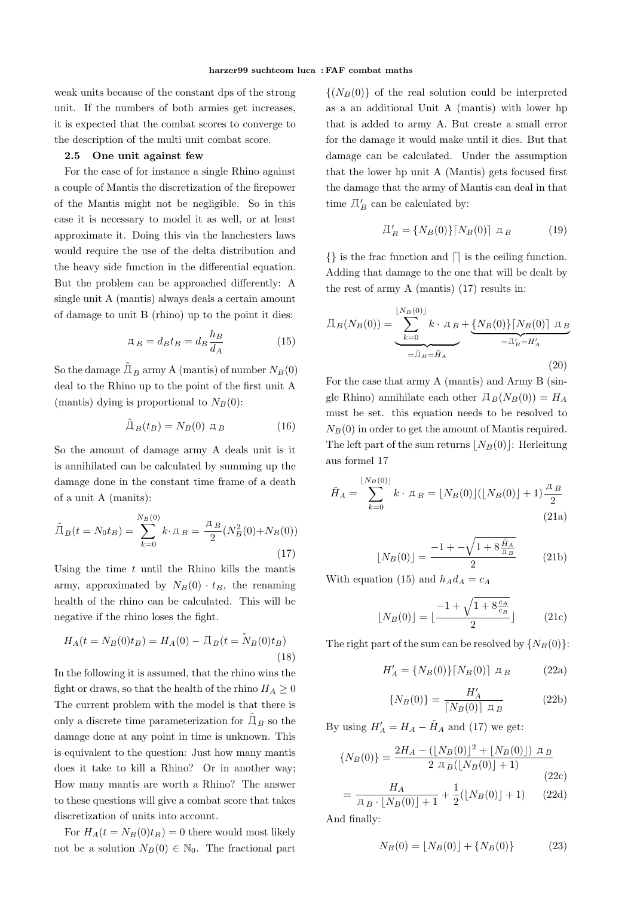weak units because of the constant dps of the strong unit. If the numbers of both armies get increases, it is expected that the combat scores to converge to the description of the multi unit combat score.

### **2.5 One unit against few**

For the case of for instance a single Rhino against a couple of Mantis the discretization of the firepower of the Mantis might not be negligible. So in this case it is necessary to model it as well, or at least approximate it. Doing this via the lanchesters laws would require the use of the delta distribution and the heavy side function in the differential equation. But the problem can be approached differently: A single unit A (mantis) always deals a certain amount of damage to unit B (rhino) up to the point it dies:

$$
\mathcal{A}_B = d_B t_B = d_B \frac{h_B}{d_A} \tag{15}
$$

So the damage  $\tilde{\Pi}_B$  army A (mantis) of number  $N_B(0)$ deal to the Rhino up to the point of the first unit A (mantis) dying is proportional to  $N_B(0)$ :

$$
\tilde{\Pi}_B(t_B) = N_B(0) \ \mathbb{I}_B \tag{16}
$$

So the amount of damage army A deals unit is it is annihilated can be calculated by summing up the damage done in the constant time frame of a death of a unit A (manits):

$$
\tilde{\Pi}_B(t = N_0 t_B) = \sum_{k=0}^{N_B(0)} k \cdot \pi_B = \frac{\pi_B}{2} (N_B^2(0) + N_B(0))
$$
\n(17)

Using the time *t* until the Rhino kills the mantis army, approximated by  $N_B(0) \cdot t_B$ , the renaming health of the rhino can be calculated. This will be negative if the rhino loses the fight.

$$
H_A(t = N_B(0)t_B) = H_A(0) - \mathcal{I}_B(t = \tilde{N}_B(0)t_B)
$$
\n(18)

In the following it is assumed, that the rhino wins the fight or draws, so that the health of the rhino  $H_A \geq 0$ The current problem with the model is that there is only a discrete time parameterization for  $\tilde{\mathcal{A}}_B$  so the damage done at any point in time is unknown. This is equivalent to the question: Just how many mantis does it take to kill a Rhino? Or in another way; How many mantis are worth a Rhino? The answer to these questions will give a combat score that takes discretization of units into account.

For  $H_A(t = N_B(0)t_B) = 0$  there would most likely not be a solution  $N_B(0) \in \mathbb{N}_0$ . The fractional part

 $\{(N_B(0))\}$  of the real solution could be interpreted as a an additional Unit A (mantis) with lower hp that is added to army A. But create a small error for the damage it would make until it dies. But that damage can be calculated. Under the assumption that the lower hp unit A (Mantis) gets focused first the damage that the army of Mantis can deal in that time  $\mathcal{I}'_B$  can be calculated by:

$$
\Pi'_B = \{ N_B(0) \} [N_B(0)] \, \, \mu_B \tag{19}
$$

*{}* is the frac function and *⌈⌉* is the ceiling function. Adding that damage to the one that will be dealt by the rest of army A (mantis) (17) results in:

$$
\Pi_B(N_B(0)) = \underbrace{\sum_{k=0}^{\lfloor N_B(0) \rfloor} k \cdot \pi_B}_{=\tilde{\Pi}_B = \tilde{H}_A} + \underbrace{\{N_B(0)\} \lceil N_B(0) \rceil \pi_B}_{=\Pi'_B = H'_A}
$$
\n(20)

For the case that army A (mantis) and Army B (single Rhino) annihilate each other  $\Box_B(N_B(0)) = H_A$ must be set. this equation needs to be resolved to  $N_B(0)$  in order to get the amount of Mantis required. The left part of the sum returns  $|N_B(0)|$ : Herleitung aus formel 17

$$
\tilde{H}_A = \sum_{k=0}^{\lfloor N_B(0) \rfloor} k \cdot \mathbf{A}_B = \lfloor N_B(0) \rfloor (\lfloor N_B(0) \rfloor + 1) \frac{\mathbf{A}_B}{2}
$$
\n(21a)

$$
\lfloor N_B(0) \rfloor = \frac{-1 + -\sqrt{1 + 8\frac{\tilde{H}_A}{\pi_B}}}{2} \tag{21b}
$$

With equation (15) and  $h_A d_A = c_A$ 

$$
\lfloor N_B(0) \rfloor = \lfloor \frac{-1 + \sqrt{1 + 8\frac{c_A}{c_B}}}{2} \rfloor \tag{21c}
$$

The right part of the sum can be resolved by  ${N_B(0)}$ :

$$
H'_{A} = \{ N_{B}(0) \} \lceil N_{B}(0) \rceil \ \mathfrak{I}_{B} \tag{22a}
$$

$$
\{N_B(0)\} = \frac{H_A'}{\lceil N_B(0) \rceil \, \, \pi_B} \tag{22b}
$$

By using  $H'_{A} = H_{A} - \tilde{H}_{A}$  and (17) we get:

$$
\{N_B(0)\} = \frac{2H_A - (\lfloor N_B(0)\rfloor^2 + \lfloor N_B(0)\rfloor) \pi_B}{2 \pi_B(\lfloor N_B(0)\rfloor + 1)}
$$
\n
$$
= \frac{H_A}{\pi_B \cdot \lfloor N_B(0)\rfloor + 1} + \frac{1}{2}(\lfloor N_B(0)\rfloor + 1) \qquad (22d)
$$

And finally:

$$
N_B(0) = \lfloor N_B(0) \rfloor + \{ N_B(0) \} \tag{23}
$$